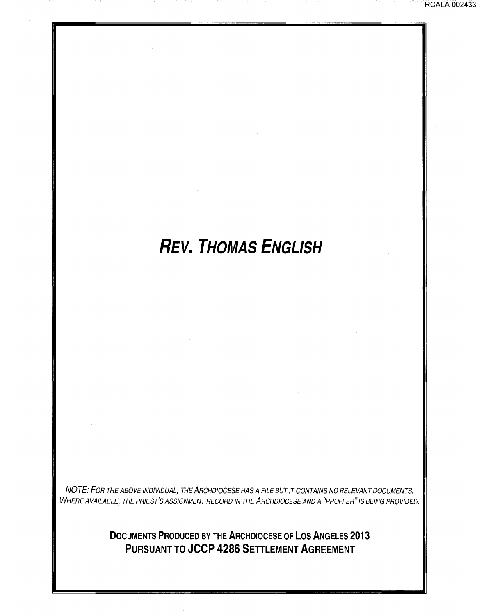# **REV. THOMAS ENGLISH**

NOTE: FOR THE ABOVE INDIVIDUAL, THE ARCHDIOCESE HAS A FILE BUT *i'T* CONTAINS NO RELEVANT DOCUMENTS. WHERE AVAILABLE, THE PRIEST'S ASSIGNMENT RECORD IN THE ARCHDIOCESE AND A "PROFFER" IS BEING PROVIDED.

> **DOCUMENTS PRODUCED BY THE ARCHDIOCESE OF LOS ANGELES 2013 PURSUANT TO JCCP 4286 SETTLEMENT AGREEMENT**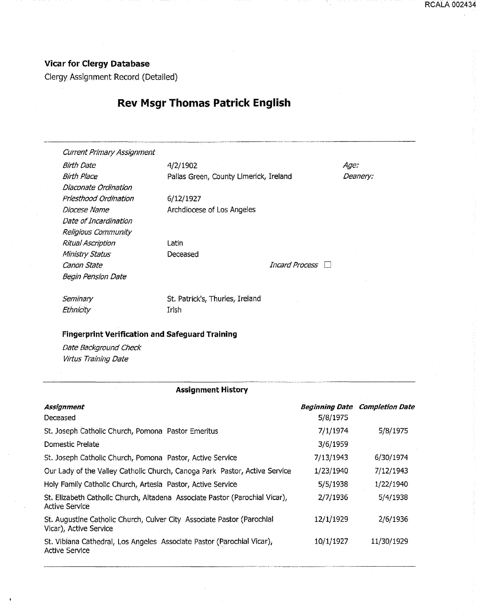### **Vicar for Clergy Database**

Clergy Assignment Record (Detailed)

## **Rev Msgr Thomas Patrick English**

Current Primary Assignment

Diaconate Ordination Priesthood Ordination

Date of Incardination Religious Community Ritual Ascription Ministry Status

Begin Pension Date

Diocese Name

Birth Date 4/2/1902 Birth Place **Pallas Green, County Limerick, Ireland** 

> 6/12/1927 Archdiocese of Los Angeles

Latin Deceased

Canon State Incard Process Dental Process Dental Process Dental Process Dental Process Dental Process Dental Process D

. .......... --···~---

Seminary **Ethnicity** 

St. Patrick's, Thurles, Ireland Irish

#### **Fingerprint Verification and Safeguard Training**

\_.:.\_\_ \_\_\_\_\_\_\_\_\_\_\_\_\_\_\_\_\_ , \_\_\_\_ ,, ................... "" ..................... ..

Date Background Check Virtus Training Date

#### **Assignment History**

| Assignment                                                                                           |           | <b>Beginning Date Completion Date</b> |
|------------------------------------------------------------------------------------------------------|-----------|---------------------------------------|
| Deceased                                                                                             | 5/8/1975  |                                       |
| St. Joseph Catholic Church, Pomona Pastor Emeritus                                                   | 7/1/1974  | 5/8/1975                              |
| Domestic Prelate                                                                                     | 3/6/1959  |                                       |
| St. Joseph Catholic Church, Pomona Pastor, Active Service                                            | 7/13/1943 | 6/30/1974                             |
| Our Lady of the Valley Catholic Church, Canoga Park Pastor, Active Service                           | 1/23/1940 | 7/12/1943                             |
| Holy Family Catholic Church, Artesia Pastor, Active Service                                          | 5/5/1938  | 1/22/1940                             |
| St. Elizabeth Catholic Church, Altadena Associate Pastor (Parochial Vicar),<br><b>Active Service</b> | 2/7/1936  | 5/4/1938                              |
| St. Augustine Catholic Church, Culver City Associate Pastor (Parochial<br>Vicar), Active Service     | 12/1/1929 | 2/6/1936                              |
| St. Vibiana Cathedral, Los Angeles Associate Pastor (Parochial Vicar),<br><b>Active Service</b>      | 10/1/1927 | 11/30/1929                            |

Age: Deanery: